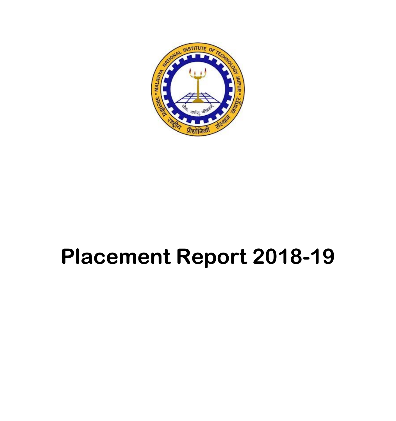

# **Placement Report 2018-19**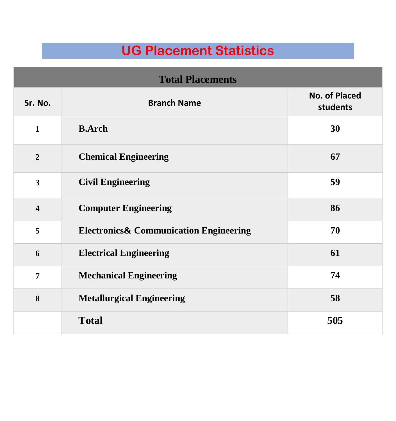### **UG Placement Statistics**

| <b>Total Placements</b> |                                                    |                                  |  |
|-------------------------|----------------------------------------------------|----------------------------------|--|
| Sr. No.                 | <b>Branch Name</b>                                 | <b>No. of Placed</b><br>students |  |
| $\mathbf{1}$            | <b>B.Arch</b>                                      | 30                               |  |
| $\overline{2}$          | <b>Chemical Engineering</b>                        | 67                               |  |
| $\overline{3}$          | <b>Civil Engineering</b>                           | 59                               |  |
| $\overline{\mathbf{4}}$ | <b>Computer Engineering</b>                        | 86                               |  |
| 5                       | <b>Electronics &amp; Communication Engineering</b> | 70                               |  |
| 6                       | <b>Electrical Engineering</b>                      | 61                               |  |
| $\overline{7}$          | <b>Mechanical Engineering</b>                      | 74                               |  |
| 8                       | <b>Metallurgical Engineering</b>                   | 58                               |  |
|                         | <b>Total</b>                                       | 505                              |  |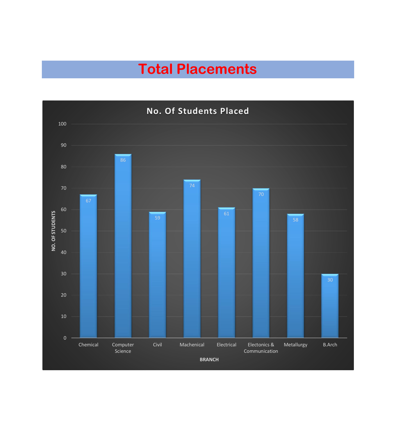## **Total Placements**

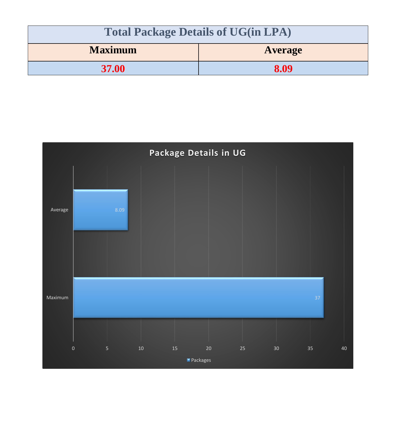| <b>Total Package Details of UG(in LPA)</b> |                |
|--------------------------------------------|----------------|
| <b>Maximum</b>                             | <b>Average</b> |
| <b>37.00</b>                               | 8.09           |

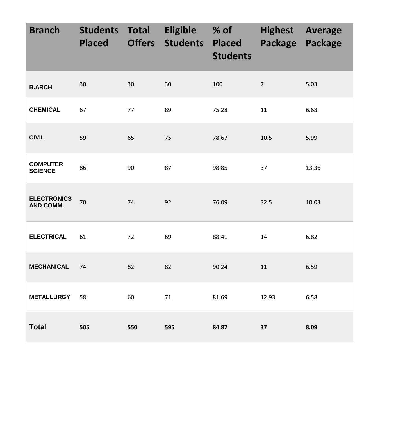| <b>Branch</b>                     | <b>Students Total</b><br><b>Placed</b> | <b>Offers</b> | <b>Eligible</b><br><b>Students</b> | $%$ of $\qquad$<br><b>Placed</b><br><b>Students</b> | <b>Highest Average</b><br>Package Package |       |
|-----------------------------------|----------------------------------------|---------------|------------------------------------|-----------------------------------------------------|-------------------------------------------|-------|
| <b>B.ARCH</b>                     | 30                                     | 30            | 30                                 | 100                                                 | $\overline{7}$                            | 5.03  |
| <b>CHEMICAL</b>                   | 67                                     | 77            | 89                                 | 75.28                                               | 11                                        | 6.68  |
| <b>CIVIL</b>                      | 59                                     | 65            | 75                                 | 78.67                                               | 10.5                                      | 5.99  |
| <b>COMPUTER</b><br><b>SCIENCE</b> | 86                                     | 90            | 87                                 | 98.85                                               | 37                                        | 13.36 |
| <b>ELECTRONICS</b><br>AND COMM.   | 70                                     | 74            | 92                                 | 76.09                                               | 32.5                                      | 10.03 |
| <b>ELECTRICAL</b>                 | 61                                     | 72            | 69                                 | 88.41                                               | 14                                        | 6.82  |
| <b>MECHANICAL</b>                 | 74                                     | 82            | 82                                 | 90.24                                               | 11                                        | 6.59  |
| <b>METALLURGY</b>                 | 58                                     | 60            | 71                                 | 81.69                                               | 12.93                                     | 6.58  |
| <b>Total</b>                      | 505                                    | 550           | 595                                | 84.87                                               | 37                                        | 8.09  |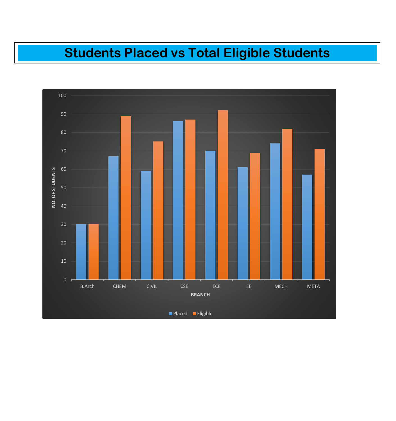### **Students Placed vs Total Eligible Students**

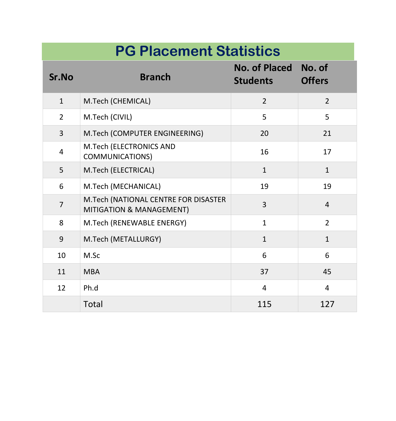# **PG Placement Statistics**

| Sr.No          | <b>Branch</b>                                                    | No. of Placed No. of<br><b>Students</b> | <b>Offers</b>  |
|----------------|------------------------------------------------------------------|-----------------------------------------|----------------|
| $\mathbf{1}$   | M.Tech (CHEMICAL)                                                | $\overline{2}$                          | $\overline{2}$ |
| $\overline{2}$ | M.Tech (CIVIL)                                                   | 5                                       | 5              |
| $\overline{3}$ | M.Tech (COMPUTER ENGINEERING)                                    | 20                                      | 21             |
| $\overline{4}$ | M.Tech (ELECTRONICS AND<br><b>COMMUNICATIONS)</b>                | 16                                      | 17             |
| 5              | M.Tech (ELECTRICAL)                                              | $\mathbf{1}$                            | $\mathbf{1}$   |
| 6              | M.Tech (MECHANICAL)                                              | 19                                      | 19             |
| $\overline{7}$ | M.Tech (NATIONAL CENTRE FOR DISASTER<br>MITIGATION & MANAGEMENT) | $\overline{3}$                          | $\overline{4}$ |
| 8              | M.Tech (RENEWABLE ENERGY)                                        | $\mathbf{1}$                            | $\overline{2}$ |
| 9              | M.Tech (METALLURGY)                                              | $\mathbf{1}$                            | $\mathbf{1}$   |
| 10             | M.Sc                                                             | 6                                       | 6              |
| 11             | <b>MBA</b>                                                       | 37                                      | 45             |
| 12             | Ph.d                                                             | $\overline{4}$                          | $\overline{4}$ |
|                | <b>Total</b>                                                     | 115                                     | 127            |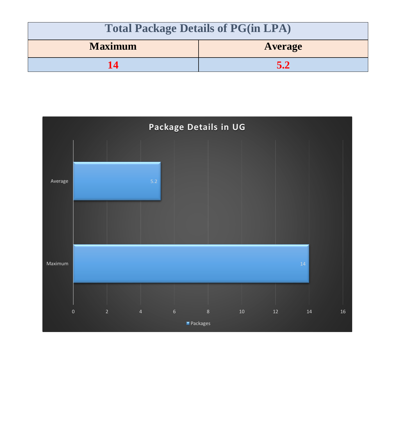| <b>Total Package Details of PG(in LPA)</b> |                |
|--------------------------------------------|----------------|
| <b>Maximum</b>                             | <b>Average</b> |
|                                            | 5.2            |

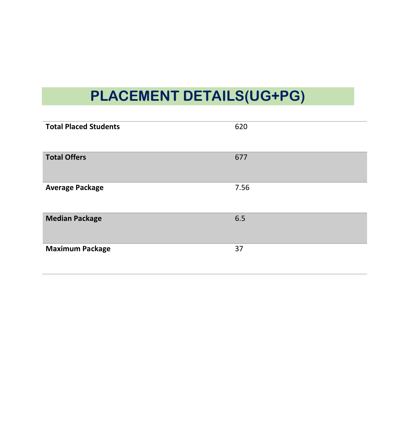# **PLACEMENT DETAILS(UG+PG)**

| <b>Total Placed Students</b> | 620  |
|------------------------------|------|
| <b>Total Offers</b>          | 677  |
| <b>Average Package</b>       | 7.56 |
| <b>Median Package</b>        | 6.5  |
| <b>Maximum Package</b>       | 37   |